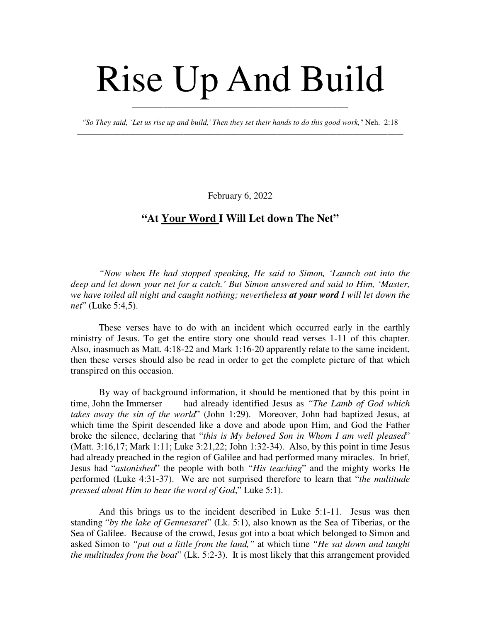## Rise Up And Build

*"So They said, `Let us rise up and build,' Then they set their hands to do this good work,"* Neh. 2:18 \_\_\_\_\_\_\_\_\_\_\_\_\_\_\_\_\_\_\_\_\_\_\_\_\_\_\_\_\_\_\_\_\_\_\_\_\_\_\_\_\_\_\_\_\_\_\_\_\_\_\_\_\_\_\_\_\_\_\_\_\_\_\_\_\_\_\_\_\_\_\_\_\_\_\_\_\_\_\_\_\_\_\_

\_\_\_\_\_\_\_\_\_\_\_\_\_\_\_\_\_\_\_\_\_\_\_\_\_\_\_\_\_\_\_\_\_\_\_\_\_\_\_\_\_\_\_\_\_\_\_\_\_\_\_\_\_\_\_

February 6, 2022

## **"At Your Word I Will Let down The Net"**

*"Now when He had stopped speaking, He said to Simon, 'Launch out into the deep and let down your net for a catch.' But Simon answered and said to Him, 'Master, we have toiled all night and caught nothing; nevertheless at your word I will let down the net*" (Luke 5:4,5).

These verses have to do with an incident which occurred early in the earthly ministry of Jesus. To get the entire story one should read verses 1-11 of this chapter. Also, inasmuch as Matt. 4:18-22 and Mark 1:16-20 apparently relate to the same incident, then these verses should also be read in order to get the complete picture of that which transpired on this occasion.

By way of background information, it should be mentioned that by this point in time, John the Immerser had already identified Jesus as *"The Lamb of God which takes away the sin of the world*" (John 1:29). Moreover, John had baptized Jesus, at which time the Spirit descended like a dove and abode upon Him, and God the Father broke the silence, declaring that "*this is My beloved Son in Whom I am well pleased*" (Matt. 3:16,17; Mark 1:11; Luke 3:21,22; John 1:32-34). Also, by this point in time Jesus had already preached in the region of Galilee and had performed many miracles. In brief, Jesus had "*astonished*" the people with both *"His teaching*" and the mighty works He performed (Luke 4:31-37). We are not surprised therefore to learn that "*the multitude pressed about Him to hear the word of God*," Luke 5:1).

And this brings us to the incident described in Luke 5:1-11. Jesus was then standing "*by the lake of Gennesaret*" (Lk. 5:1), also known as the Sea of Tiberias, or the Sea of Galilee. Because of the crowd, Jesus got into a boat which belonged to Simon and asked Simon to *"put out a little from the land,"* at which time *"He sat down and taught the multitudes from the boat*" (Lk. 5:2-3). It is most likely that this arrangement provided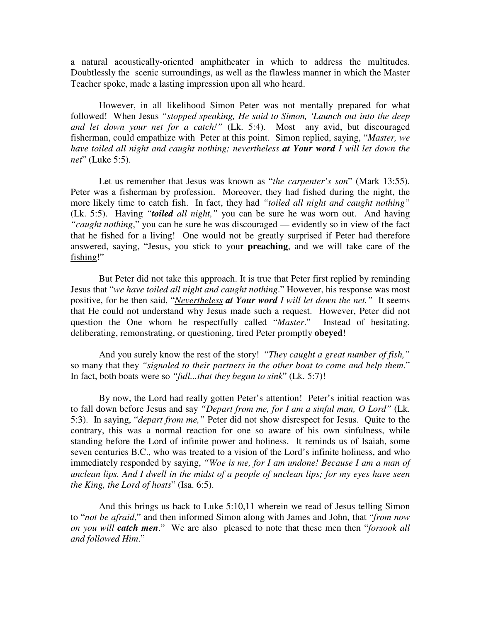a natural acoustically-oriented amphitheater in which to address the multitudes. Doubtlessly the scenic surroundings, as well as the flawless manner in which the Master Teacher spoke, made a lasting impression upon all who heard.

However, in all likelihood Simon Peter was not mentally prepared for what followed! When Jesus *"stopped speaking, He said to Simon, 'Launch out into the deep and let down your net for a catch!"* (Lk. 5:4). Most any avid, but discouraged fisherman, could empathize with Peter at this point. Simon replied, saying, "*Master, we have toiled all night and caught nothing; nevertheless at Your word I will let down the net*" (Luke 5:5).

Let us remember that Jesus was known as "*the carpenter's son*" (Mark 13:55). Peter was a fisherman by profession. Moreover, they had fished during the night, the more likely time to catch fish. In fact, they had *"toiled all night and caught nothing"* (Lk. 5:5). Having *"toiled all night,"* you can be sure he was worn out. And having *"caught nothing*," you can be sure he was discouraged — evidently so in view of the fact that he fished for a living! One would not be greatly surprised if Peter had therefore answered, saying, "Jesus, you stick to your **preaching**, and we will take care of the fishing!"

But Peter did not take this approach. It is true that Peter first replied by reminding Jesus that "*we have toiled all night and caught nothing*." However, his response was most positive, for he then said, "*Nevertheless at Your word I will let down the net."* It seems that He could not understand why Jesus made such a request. However, Peter did not question the One whom he respectfully called "*Master*." Instead of hesitating, deliberating, remonstrating, or questioning, tired Peter promptly **obeyed**!

And you surely know the rest of the story! "*They caught a great number of fish,"* so many that they *"signaled to their partners in the other boat to come and help them*." In fact, both boats were so *"full...that they began to sink*" (Lk. 5:7)!

By now, the Lord had really gotten Peter's attention! Peter's initial reaction was to fall down before Jesus and say *"Depart from me, for I am a sinful man, O Lord"* (Lk. 5:3). In saying, "*depart from me,"* Peter did not show disrespect for Jesus. Quite to the contrary, this was a normal reaction for one so aware of his own sinfulness, while standing before the Lord of infinite power and holiness. It reminds us of Isaiah, some seven centuries B.C., who was treated to a vision of the Lord's infinite holiness, and who immediately responded by saying, *"Woe is me, for I am undone! Because I am a man of unclean lips. And I dwell in the midst of a people of unclean lips; for my eyes have seen the King, the Lord of hosts*" (Isa. 6:5).

And this brings us back to Luke 5:10,11 wherein we read of Jesus telling Simon to "*not be afraid*," and then informed Simon along with James and John, that "*from now on you will catch men*." We are also pleased to note that these men then "*forsook all and followed Him*."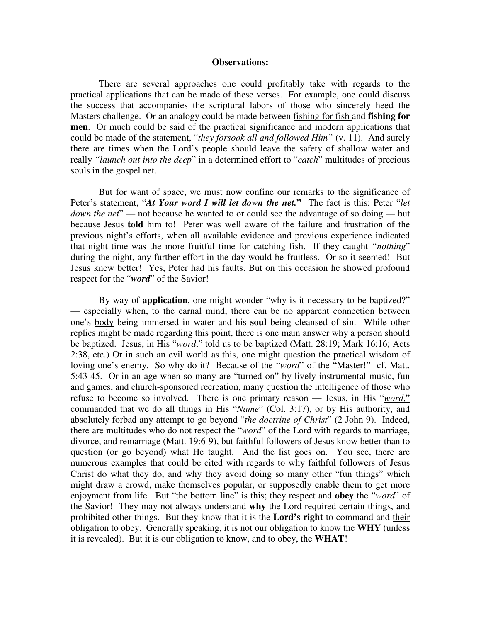## **Observations:**

There are several approaches one could profitably take with regards to the practical applications that can be made of these verses. For example, one could discuss the success that accompanies the scriptural labors of those who sincerely heed the Masters challenge. Or an analogy could be made between fishing for fish and **fishing for men**. Or much could be said of the practical significance and modern applications that could be made of the statement, "*they forsook all and followed Him"* (v. 11). And surely there are times when the Lord's people should leave the safety of shallow water and really *"launch out into the deep*" in a determined effort to "*catch*" multitudes of precious souls in the gospel net.

But for want of space, we must now confine our remarks to the significance of Peter's statement, "*At Your word I will let down the net.***"** The fact is this: Peter "*let down the net*" — not because he wanted to or could see the advantage of so doing — but because Jesus **told** him to! Peter was well aware of the failure and frustration of the previous night's efforts, when all available evidence and previous experience indicated that night time was the more fruitful time for catching fish. If they caught *"nothing*" during the night, any further effort in the day would be fruitless. Or so it seemed! But Jesus knew better! Yes, Peter had his faults. But on this occasion he showed profound respect for the "*word*" of the Savior!

By way of **application**, one might wonder "why is it necessary to be baptized?" — especially when, to the carnal mind, there can be no apparent connection between one's body being immersed in water and his **soul** being cleansed of sin. While other replies might be made regarding this point, there is one main answer why a person should be baptized. Jesus, in His "*word*," told us to be baptized (Matt. 28:19; Mark 16:16; Acts 2:38, etc.) Or in such an evil world as this, one might question the practical wisdom of loving one's enemy. So why do it? Because of the "*word*" of the "Master!" cf. Matt. 5:43-45. Or in an age when so many are "turned on" by lively instrumental music, fun and games, and church-sponsored recreation, many question the intelligence of those who refuse to become so involved. There is one primary reason — Jesus, in His "*word*," commanded that we do all things in His "*Name*" (Col. 3:17), or by His authority, and absolutely forbad any attempt to go beyond "*the doctrine of Christ*" (2 John 9). Indeed, there are multitudes who do not respect the "*word*" of the Lord with regards to marriage, divorce, and remarriage (Matt. 19:6-9), but faithful followers of Jesus know better than to question (or go beyond) what He taught. And the list goes on. You see, there are numerous examples that could be cited with regards to why faithful followers of Jesus Christ do what they do, and why they avoid doing so many other "fun things" which might draw a crowd, make themselves popular, or supposedly enable them to get more enjoyment from life. But "the bottom line" is this; they respect and **obey** the "*word*" of the Savior! They may not always understand **why** the Lord required certain things, and prohibited other things. But they know that it is the **Lord's right** to command and their obligation to obey. Generally speaking, it is not our obligation to know the **WHY** (unless it is revealed). But it is our obligation to know, and to obey, the **WHAT**!